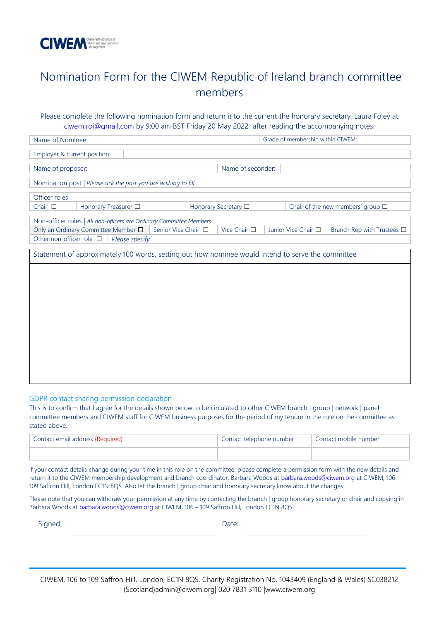

## Nomination Form for the CIWEM Republic of Ireland branch committee members

## Please complete the following nomination form and return it to the current the honorary secretary, Laura Foley at [ciwem.roi@gmail.com](mailto:ciwem.roi@gmail.com) by 9:00 am BST Friday 20 May 2022 after reading the accompanying notes.

| Name of Nominee:                                                                                  | Grade of membership within CIWEM:                                                 |  |  |  |
|---------------------------------------------------------------------------------------------------|-----------------------------------------------------------------------------------|--|--|--|
| Employer & current position:                                                                      |                                                                                   |  |  |  |
| Name of proposer:                                                                                 | Name of seconder:                                                                 |  |  |  |
| Nomination post   Please tick the post you are wishing to fill.                                   |                                                                                   |  |  |  |
| Officer roles                                                                                     |                                                                                   |  |  |  |
| Chair $\square$<br>Honorary Treasurer <sup>[]</sup><br>Honorary Secretary □                       | Chair of the new members' group $\square$                                         |  |  |  |
| Non-officer roles   All non-officers are Ordinary Committee Members                               |                                                                                   |  |  |  |
| Only an Ordinary Committee Member $\square$<br>Senior Vice Chair □                                | Vice Chair $\square$<br>Junior Vice Chair $\square$<br>Branch Rep with Trustees □ |  |  |  |
| Other non-officer role $\Box$<br>Please specify                                                   |                                                                                   |  |  |  |
| Statement of approximately 100 words, setting out how nominee would intend to serve the committee |                                                                                   |  |  |  |
|                                                                                                   |                                                                                   |  |  |  |
|                                                                                                   |                                                                                   |  |  |  |
|                                                                                                   |                                                                                   |  |  |  |
|                                                                                                   |                                                                                   |  |  |  |
|                                                                                                   |                                                                                   |  |  |  |
|                                                                                                   |                                                                                   |  |  |  |
|                                                                                                   |                                                                                   |  |  |  |
|                                                                                                   |                                                                                   |  |  |  |
|                                                                                                   |                                                                                   |  |  |  |
|                                                                                                   |                                                                                   |  |  |  |
|                                                                                                   |                                                                                   |  |  |  |

GDPR contact sharing permission declaration

This is to confirm that I agree for the details shown below to be circulated to other CIWEM branch | group | network | panel committee members and CIWEM staff for CIWEM business purposes for the period of my tenure in the role on the committee as stated above.

| Contact email address {Required} | Contact telephone number | Contact mobile number |
|----------------------------------|--------------------------|-----------------------|
|                                  |                          |                       |

If your contact details change during your time in this role on the committee, please complete a permission form with the new details and return it to the CIWEM membership development and branch coordinator, Barbara Woods at [barbara.woods@ciwem.org](mailto:barbara.woods@ciwem.org) at CIWEM, 106 – 109 Saffron Hill, London EC1N 8QS. Also let the branch | group chair and honorary secretary know about the changes.

Please note that you can withdraw your permission at any time by contacting the branch | group honorary secretary or chair and copying in Barbara Woods at [barbara.woods@ciwem.org](mailto:barbara.woods@ciwem.org) at CIWEM, 106 – 109 Saffron Hill, London EC1N 8QS.

Signed: Date:

CIWEM, 106 to 109 Saffron Hill, London, EC1N 8QS. Charity Registration No. 1043409 (England & Wales) SC038212 (Scotland)admin@ciwem.org| 020 7831 3110 |www.ciwem.org